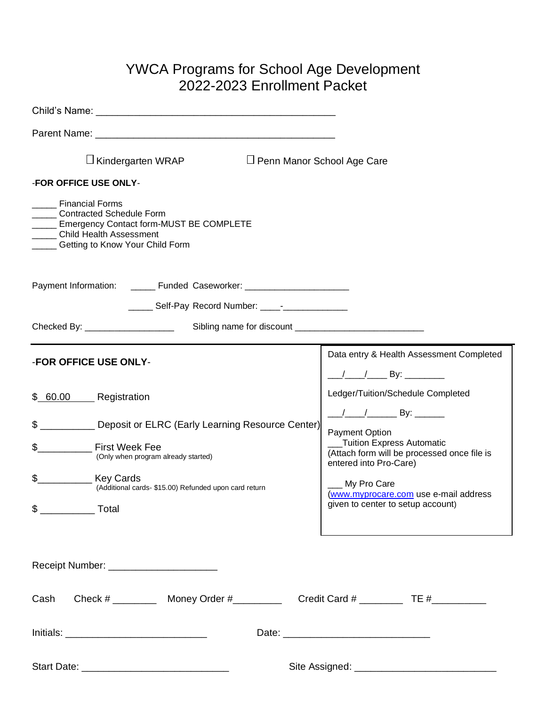# YWCA Programs for School Age Development 2022-2023 Enrollment Packet

| Child's Name: The Child's Name: The Child's Name: The Child's Name: The Child's Name: The Child's Name: The Child                                                         |                                                                                                                                |
|---------------------------------------------------------------------------------------------------------------------------------------------------------------------------|--------------------------------------------------------------------------------------------------------------------------------|
|                                                                                                                                                                           |                                                                                                                                |
| $\Box$ Kindergarten WRAP<br>$\Box$ Penn Manor School Age Care                                                                                                             |                                                                                                                                |
| -FOR OFFICE USE ONLY-                                                                                                                                                     |                                                                                                                                |
| <b>Financial Forms</b><br><b>Contracted Schedule Form</b><br>Emergency Contact form-MUST BE COMPLETE<br><b>Child Health Assessment</b><br>Getting to Know Your Child Form |                                                                                                                                |
| Payment Information: _______ Funded Caseworker: ________________________________                                                                                          |                                                                                                                                |
| ______ Self-Pay Record Number: _____-_______________                                                                                                                      |                                                                                                                                |
|                                                                                                                                                                           |                                                                                                                                |
| -FOR OFFICE USE ONLY-                                                                                                                                                     | Data entry & Health Assessment Completed<br><u>____/_____/__________By: ____________</u>                                       |
| \$ 60.00 Registration                                                                                                                                                     | Ledger/Tuition/Schedule Completed                                                                                              |
| Deposit or ELRC (Early Learning Resource Center)<br>\$<br>\$<br><b>First Week Fee</b><br>(Only when program already started)                                              | $\frac{1}{2}$ $\frac{1}{2}$ By:<br>Payment Option<br>_Tuition Express Automatic<br>(Attach form will be processed once file is |
| \$<br><b>Key Cards</b><br>(Additional cards- \$15.00) Refunded upon card return<br>$\frac{1}{2}$ Total                                                                    | entered into Pro-Care)<br>_My Pro Care<br>(www.myprocare.com use e-mail address<br>given to center to setup account)           |
| Receipt Number: _________________________                                                                                                                                 |                                                                                                                                |
| Cash                                                                                                                                                                      |                                                                                                                                |
|                                                                                                                                                                           |                                                                                                                                |
|                                                                                                                                                                           |                                                                                                                                |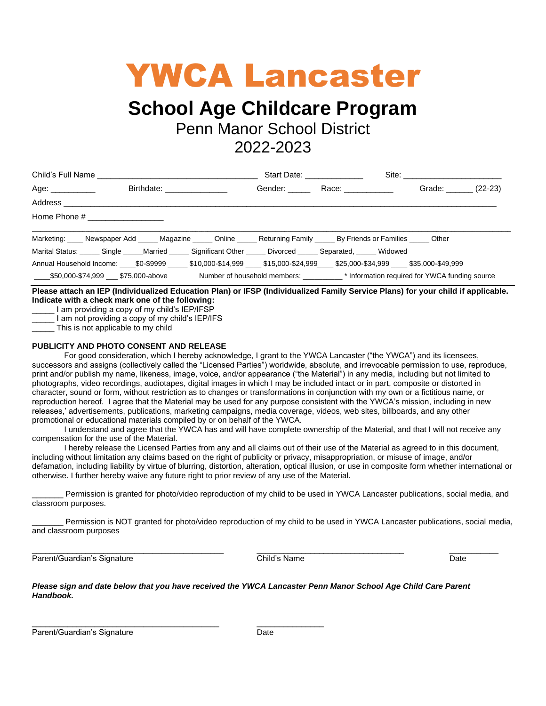# YWCA Lancaster

# **School Age Childcare Program**

Penn Manor School District

2022-2023

|                                                                                                                |                              |  | Start Date: ______________ |                |  |
|----------------------------------------------------------------------------------------------------------------|------------------------------|--|----------------------------|----------------|--|
| Age: ____________                                                                                              | Birthdate: _________________ |  | Gender: Race: Race:        | Grade: (22-23) |  |
|                                                                                                                |                              |  |                            |                |  |
|                                                                                                                |                              |  |                            |                |  |
| Marketing: Newspaper Add Magazine Chine Returning Family By Friends or Families Chier                          |                              |  |                            |                |  |
| Marital Status: Single Married Significant Other Divorced Separated, Widowed                                   |                              |  |                            |                |  |
| Annual Household Income: \$0-\$9999 \$10,000-\$14,999 \$15,000-\$24,999 \$25,000-\$34,999 \$35,000-\$49,999    |                              |  |                            |                |  |
| 55,000-\$74,999 \$75,000-above Number of household members: \[\ftareformation required for YWCA funding source |                              |  |                            |                |  |

**Please attach an IEP (Individualized Education Plan) or IFSP (Individualized Family Service Plans) for your child if applicable. Indicate with a check mark one of the following:**

I am providing a copy of my child's IEP/IFSP

I am not providing a copy of my child's IEP/IFS

This is not applicable to my child

### **PUBLICITY AND PHOTO CONSENT AND RELEASE**

For good consideration, which I hereby acknowledge, I grant to the YWCA Lancaster ("the YWCA") and its licensees, successors and assigns (collectively called the "Licensed Parties") worldwide, absolute, and irrevocable permission to use, reproduce, print and/or publish my name, likeness, image, voice, and/or appearance ("the Material") in any media, including but not limited to photographs, video recordings, audiotapes, digital images in which I may be included intact or in part, composite or distorted in character, sound or form, without restriction as to changes or transformations in conjunction with my own or a fictitious name, or reproduction hereof. I agree that the Material may be used for any purpose consistent with the YWCA's mission, including in new releases,' advertisements, publications, marketing campaigns, media coverage, videos, web sites, billboards, and any other promotional or educational materials compiled by or on behalf of the YWCA.

I understand and agree that the YWCA has and will have complete ownership of the Material, and that I will not receive any compensation for the use of the Material.

I hereby release the Licensed Parties from any and all claims out of their use of the Material as agreed to in this document, including without limitation any claims based on the right of publicity or privacy, misappropriation, or misuse of image, and/or defamation, including liability by virtue of blurring, distortion, alteration, optical illusion, or use in composite form whether international or otherwise. I further hereby waive any future right to prior review of any use of the Material.

Permission is granted for photo/video reproduction of my child to be used in YWCA Lancaster publications, social media, and classroom purposes.

Permission is NOT granted for photo/video reproduction of my child to be used in YWCA Lancaster publications, social media, and classroom purposes

Parent/Guardian's Signature **Child's Name** Child's Name **Date** Date

\_\_\_\_\_\_\_\_\_\_\_\_\_\_\_\_\_\_\_\_\_\_\_\_\_\_\_\_\_\_\_\_\_\_\_\_\_\_\_\_\_\_\_ \_\_\_\_\_\_\_\_\_\_\_\_\_\_\_\_\_\_\_\_\_\_\_\_\_\_\_\_\_\_\_\_\_ \_\_\_\_\_\_\_\_\_\_\_

*Please sign and date below that you have received the YWCA Lancaster Penn Manor School Age Child Care Parent Handbook.*

 $\frac{1}{2}$  ,  $\frac{1}{2}$  ,  $\frac{1}{2}$  ,  $\frac{1}{2}$  ,  $\frac{1}{2}$  ,  $\frac{1}{2}$  ,  $\frac{1}{2}$  ,  $\frac{1}{2}$  ,  $\frac{1}{2}$  ,  $\frac{1}{2}$  ,  $\frac{1}{2}$  ,  $\frac{1}{2}$  ,  $\frac{1}{2}$  ,  $\frac{1}{2}$  ,  $\frac{1}{2}$  ,  $\frac{1}{2}$  ,  $\frac{1}{2}$  ,  $\frac{1}{2}$  ,  $\frac{1$ 

Parent/Guardian's Signature Date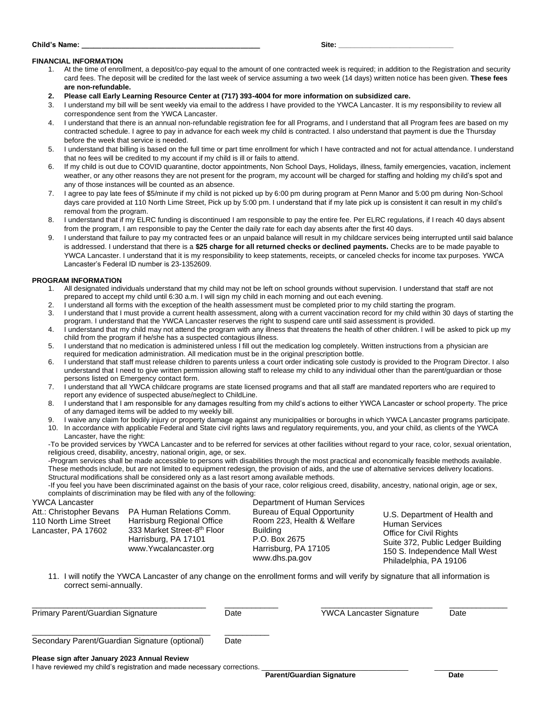#### **Child's Name: Site: Site: Site: Site: Site: Site: Site: Site: Site: Site: Site: Site: Site: Site: Site: Site: Site: Site: Site: Site: Site: Site: Site: Site: Site: Site:**

#### **FINANCIAL INFORMATION**

- 1. At the time of enrollment, a deposit/co-pay equal to the amount of one contracted week is required; in addition to the Registration and security card fees. The deposit will be credited for the last week of service assuming a two week (14 days) written notice has been given. **These fees are non-refundable.**
- **2. Please call Early Learning Resource Center at (717) 393-4004 for more information on subsidized care.**
- 3. I understand my bill will be sent weekly via email to the address I have provided to the YWCA Lancaster. It is my responsibility to review all correspondence sent from the YWCA Lancaster.
- 4. I understand that there is an annual non-refundable registration fee for all Programs, and I understand that all Program fees are based on my contracted schedule. I agree to pay in advance for each week my child is contracted. I also understand that payment is due the Thursday before the week that service is needed.
- 5. I understand that billing is based on the full time or part time enrollment for which I have contracted and not for actual attendance. I understand that no fees will be credited to my account if my child is ill or fails to attend.
- 6. If my child is out due to COVID quarantine, doctor appointments, Non School Days, Holidays, illness, family emergencies, vacation, inclement weather, or any other reasons they are not present for the program, my account will be charged for staffing and holding my child's spot and any of those instances will be counted as an absence.
- 7. I agree to pay late fees of \$5/minute if my child is not picked up by 6:00 pm during program at Penn Manor and 5:00 pm during Non-School days care provided at 110 North Lime Street, Pick up by 5:00 pm. I understand that if my late pick up is consistent it can result in my child's removal from the program.
- 8. I understand that if my ELRC funding is discontinued I am responsible to pay the entire fee. Per ELRC regulations, if I reach 40 days absent from the program, I am responsible to pay the Center the daily rate for each day absents after the first 40 days.
- 9. I understand that failure to pay my contracted fees or an unpaid balance will result in my childcare services being interrupted until said balance is addressed. I understand that there is a **\$25 charge for all returned checks or declined payments.** Checks are to be made payable to YWCA Lancaster. I understand that it is my responsibility to keep statements, receipts, or canceled checks for income tax purposes. YWCA Lancaster's Federal ID number is 23-1352609.

#### **PROGRAM INFORMATION**

- 1. All designated individuals understand that my child may not be left on school grounds without supervision. I understand that staff are not prepared to accept my child until 6:30 a.m. I will sign my child in each morning and out each evening.
- 2. I understand all forms with the exception of the health assessment must be completed prior to my child starting the program.
- 3. I understand that I must provide a current health assessment, along with a current vaccination record for my child within 30 days of starting the program. I understand that the YWCA Lancaster reserves the right to suspend care until said assessment is provided.
- 4. I understand that my child may not attend the program with any illness that threatens the health of other children. I will be asked to pick up my child from the program if he/she has a suspected contagious illness.
- 5. I understand that no medication is administered unless I fill out the medication log completely. Written instructions from a physician are required for medication administration. All medication must be in the original prescription bottle.
- 6. I understand that staff must release children to parents unless a court order indicating sole custody is provided to the Program Director. I also understand that I need to give written permission allowing staff to release my child to any individual other than the parent/guardian or those persons listed on Emergency contact form.
- 7. I understand that all YWCA childcare programs are state licensed programs and that all staff are mandated reporters who are required to report any evidence of suspected abuse/neglect to ChildLine.
- 8. I understand that I am responsible for any damages resulting from my child's actions to either YWCA Lancaster or school property. The price of any damaged items will be added to my weekly bill.
- 9. I waive any claim for bodily injury or property damage against any municipalities or boroughs in which YWCA Lancaster programs participate.
- 10. In accordance with applicable Federal and State civil rights laws and regulatory requirements, you, and your child, as clients of the YWCA Lancaster, have the right:

-To be provided services by YWCA Lancaster and to be referred for services at other facilities without regard to your race, color, sexual orientation, religious creed, disability, ancestry, national origin, age, or sex.

-Program services shall be made accessible to persons with disabilities through the most practical and economically feasible methods available. These methods include, but are not limited to equipment redesign, the provision of aids, and the use of alternative services delivery locations. Structural modifications shall be considered only as a last resort among available methods.

-If you feel you have been discriminated against on the basis of your race, color religious creed, disability, ancestry, national origin, age or sex, complaints of discrimination may be filed with any of the following:

| <b>YWCA Lancaster</b>                                                    |                                                                                                                                        | Department of Human Services                                                                                                            |                                                                                                                                                                                   |
|--------------------------------------------------------------------------|----------------------------------------------------------------------------------------------------------------------------------------|-----------------------------------------------------------------------------------------------------------------------------------------|-----------------------------------------------------------------------------------------------------------------------------------------------------------------------------------|
| Att.: Christopher Bevans<br>110 North Lime Street<br>Lancaster, PA 17602 | PA Human Relations Comm.<br>Harrisburg Regional Office<br>333 Market Street-8th Floor<br>Harrisburg, PA 17101<br>www.Ywcalancaster.org | Bureau of Equal Opportunity<br>Room 223, Health & Welfare<br><b>Building</b><br>P.O. Box 2675<br>Harrisburg, PA 17105<br>www.dhs.pa.gov | U.S. Department of Health and<br><b>Human Services</b><br>Office for Civil Rights<br>Suite 372, Public Ledger Building<br>150 S. Independence Mall West<br>Philadelphia, PA 19106 |

11. I will notify the YWCA Lancaster of any change on the enrollment forms and will verify by signature that all information is correct semi-annually.

| Primary Parent/Guardian Signature                                                                                       | Date | <b>YWCA Lancaster Signature</b> | Date |
|-------------------------------------------------------------------------------------------------------------------------|------|---------------------------------|------|
| Secondary Parent/Guardian Signature (optional)                                                                          | Date |                                 |      |
| Please sign after January 2023 Annual Review<br>I have reviewed my child's registration and made necessary corrections. |      |                                 |      |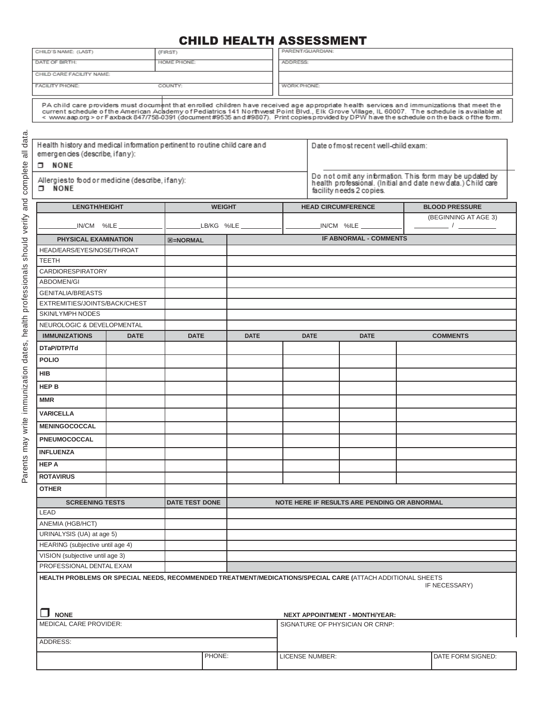# CHILD HEALTH ASSESSMENT

| CHILD'S NAME: (LAST)                                                       |                                                                                                                             | (FIRST)                                                                                                                                    |               | PARENT/GUARDIAN: |                                       |                                              |                                                                                                                                                                                                                                   |                                                                                                                          |
|----------------------------------------------------------------------------|-----------------------------------------------------------------------------------------------------------------------------|--------------------------------------------------------------------------------------------------------------------------------------------|---------------|------------------|---------------------------------------|----------------------------------------------|-----------------------------------------------------------------------------------------------------------------------------------------------------------------------------------------------------------------------------------|--------------------------------------------------------------------------------------------------------------------------|
| DATE OF BIRTH:                                                             |                                                                                                                             | HOME PHONE:                                                                                                                                |               | ADDRESS:         |                                       |                                              |                                                                                                                                                                                                                                   |                                                                                                                          |
| CHILD CARE FACILITY NAME:                                                  |                                                                                                                             |                                                                                                                                            |               |                  |                                       |                                              |                                                                                                                                                                                                                                   |                                                                                                                          |
| FACILITY PHONE:<br>COUNTY:                                                 |                                                                                                                             |                                                                                                                                            | WORK PHONE:   |                  |                                       |                                              |                                                                                                                                                                                                                                   |                                                                                                                          |
|                                                                            |                                                                                                                             |                                                                                                                                            |               |                  |                                       |                                              |                                                                                                                                                                                                                                   |                                                                                                                          |
|                                                                            |                                                                                                                             | PA child care providers must document that enrolled children have received age appropriate health services and immunizations that meet the |               |                  |                                       |                                              | current schedule of the American Academy of Pediatrics 141 Northwest Point Blvd., Elk Grove Village, IL 60007. The schedule is available at<br>< www.aap.org > or Faxback 847/758-0391 (document#9535 and#9807). Print copies pro |                                                                                                                          |
|                                                                            |                                                                                                                             |                                                                                                                                            |               |                  |                                       |                                              |                                                                                                                                                                                                                                   |                                                                                                                          |
| Health history and medical information pertinent to routine child care and |                                                                                                                             |                                                                                                                                            |               |                  |                                       | Date of most recent well-child exam:         |                                                                                                                                                                                                                                   |                                                                                                                          |
| emergencies (describe, ifany):                                             |                                                                                                                             |                                                                                                                                            |               |                  |                                       |                                              |                                                                                                                                                                                                                                   |                                                                                                                          |
| <b>D</b> NONE                                                              |                                                                                                                             |                                                                                                                                            |               |                  |                                       |                                              |                                                                                                                                                                                                                                   |                                                                                                                          |
| Allergiesto food or medicine (describe, if any):<br>$\neg$ NONE            |                                                                                                                             |                                                                                                                                            |               |                  |                                       | facility needs 2 copies.                     |                                                                                                                                                                                                                                   | Do not omit any information. This form may be updated by<br>health professional. (Initial and date new data.) Child care |
| <b>LENGTH/HEIGHT</b>                                                       |                                                                                                                             |                                                                                                                                            | <b>WEIGHT</b> |                  |                                       | <b>HEAD CIRCUMFERENCE</b>                    |                                                                                                                                                                                                                                   | <b>BLOOD PRESSURE</b>                                                                                                    |
|                                                                            |                                                                                                                             |                                                                                                                                            |               |                  |                                       |                                              |                                                                                                                                                                                                                                   | (BEGINNING AT AGE 3)                                                                                                     |
|                                                                            |                                                                                                                             |                                                                                                                                            |               |                  |                                       | $IN/CM$ %ILE $\_\_\_\_\_\_\_\_\_\_$          |                                                                                                                                                                                                                                   |                                                                                                                          |
| PHYSICAL EXAMINATION                                                       |                                                                                                                             | <b>図=NORMAL</b>                                                                                                                            |               |                  |                                       | <b>IF ABNORMAL - COMMENTS</b>                |                                                                                                                                                                                                                                   |                                                                                                                          |
| HEAD/EARS/EYES/NOSE/THROAT                                                 |                                                                                                                             |                                                                                                                                            |               |                  |                                       |                                              |                                                                                                                                                                                                                                   |                                                                                                                          |
| <b>TEETH</b>                                                               |                                                                                                                             |                                                                                                                                            |               |                  |                                       |                                              |                                                                                                                                                                                                                                   |                                                                                                                          |
| <b>CARDIORESPIRATORY</b>                                                   |                                                                                                                             |                                                                                                                                            |               |                  |                                       |                                              |                                                                                                                                                                                                                                   |                                                                                                                          |
| <b>ABDOMEN/GI</b>                                                          |                                                                                                                             |                                                                                                                                            |               |                  |                                       |                                              |                                                                                                                                                                                                                                   |                                                                                                                          |
| <b>GENITALIA/BREASTS</b>                                                   |                                                                                                                             |                                                                                                                                            |               |                  |                                       |                                              |                                                                                                                                                                                                                                   |                                                                                                                          |
| EXTREMITIES/JOINTS/BACK/CHEST                                              |                                                                                                                             |                                                                                                                                            |               |                  |                                       |                                              |                                                                                                                                                                                                                                   |                                                                                                                          |
| <b>SKIN/LYMPH NODES</b>                                                    |                                                                                                                             |                                                                                                                                            |               |                  |                                       |                                              |                                                                                                                                                                                                                                   |                                                                                                                          |
| NEUROLOGIC & DEVELOPMENTAL                                                 |                                                                                                                             |                                                                                                                                            |               |                  |                                       |                                              |                                                                                                                                                                                                                                   |                                                                                                                          |
| <b>IMMUNIZATIONS</b>                                                       | <b>DATE</b>                                                                                                                 | <b>DATE</b>                                                                                                                                | <b>DATE</b>   |                  | <b>DATE</b>                           | <b>DATE</b>                                  |                                                                                                                                                                                                                                   | <b>COMMENTS</b>                                                                                                          |
| DTaP/DTP/Td                                                                |                                                                                                                             |                                                                                                                                            |               |                  |                                       |                                              |                                                                                                                                                                                                                                   |                                                                                                                          |
| <b>POLIO</b>                                                               |                                                                                                                             |                                                                                                                                            |               |                  |                                       |                                              |                                                                                                                                                                                                                                   |                                                                                                                          |
| HIB                                                                        |                                                                                                                             |                                                                                                                                            |               |                  |                                       |                                              |                                                                                                                                                                                                                                   |                                                                                                                          |
| HEP B                                                                      |                                                                                                                             |                                                                                                                                            |               |                  |                                       |                                              |                                                                                                                                                                                                                                   |                                                                                                                          |
| <b>MMR</b>                                                                 |                                                                                                                             |                                                                                                                                            |               |                  |                                       |                                              |                                                                                                                                                                                                                                   |                                                                                                                          |
| <b>VARICELLA</b>                                                           |                                                                                                                             |                                                                                                                                            |               |                  |                                       |                                              |                                                                                                                                                                                                                                   |                                                                                                                          |
| <b>MENINGOCOCCAL</b>                                                       |                                                                                                                             |                                                                                                                                            |               |                  |                                       |                                              |                                                                                                                                                                                                                                   |                                                                                                                          |
| <b>PNEUMOCOCCAL</b>                                                        |                                                                                                                             |                                                                                                                                            |               |                  |                                       |                                              |                                                                                                                                                                                                                                   |                                                                                                                          |
| <b>INFLUENZA</b>                                                           |                                                                                                                             |                                                                                                                                            |               |                  |                                       |                                              |                                                                                                                                                                                                                                   |                                                                                                                          |
| <b>HEP A</b>                                                               |                                                                                                                             |                                                                                                                                            |               |                  |                                       |                                              |                                                                                                                                                                                                                                   |                                                                                                                          |
| <b>ROTAVIRUS</b>                                                           |                                                                                                                             |                                                                                                                                            |               |                  |                                       |                                              |                                                                                                                                                                                                                                   |                                                                                                                          |
| <b>OTHER</b>                                                               |                                                                                                                             |                                                                                                                                            |               |                  |                                       |                                              |                                                                                                                                                                                                                                   |                                                                                                                          |
| <b>SCREENING TESTS</b>                                                     |                                                                                                                             | <b>DATE TEST DONE</b>                                                                                                                      |               |                  |                                       | NOTE HERE IF RESULTS ARE PENDING OR ABNORMAL |                                                                                                                                                                                                                                   |                                                                                                                          |
| LEAD                                                                       |                                                                                                                             |                                                                                                                                            |               |                  |                                       |                                              |                                                                                                                                                                                                                                   |                                                                                                                          |
| ANEMIA (HGB/HCT)                                                           |                                                                                                                             |                                                                                                                                            |               |                  |                                       |                                              |                                                                                                                                                                                                                                   |                                                                                                                          |
| URINALYSIS (UA) at age 5)                                                  |                                                                                                                             |                                                                                                                                            |               |                  |                                       |                                              |                                                                                                                                                                                                                                   |                                                                                                                          |
| HEARING (subjective until age 4)                                           |                                                                                                                             |                                                                                                                                            |               |                  |                                       |                                              |                                                                                                                                                                                                                                   |                                                                                                                          |
| VISION (subjective until age 3)                                            |                                                                                                                             |                                                                                                                                            |               |                  |                                       |                                              |                                                                                                                                                                                                                                   |                                                                                                                          |
| PROFESSIONAL DENTAL EXAM                                                   |                                                                                                                             |                                                                                                                                            |               |                  |                                       |                                              |                                                                                                                                                                                                                                   |                                                                                                                          |
|                                                                            | HEALTH PROBLEMS OR SPECIAL NEEDS, RECOMMENDED TREATMENT/MEDICATIONS/SPECIAL CARE (ATTACH ADDITIONAL SHEETS<br>IF NECESSARY) |                                                                                                                                            |               |                  |                                       |                                              |                                                                                                                                                                                                                                   |                                                                                                                          |
| <b>NONE</b>                                                                |                                                                                                                             |                                                                                                                                            |               |                  | <b>NEXT APPOINTMENT - MONTH/YEAR:</b> |                                              |                                                                                                                                                                                                                                   |                                                                                                                          |
| MEDICAL CARE PROVIDER:                                                     |                                                                                                                             |                                                                                                                                            |               |                  |                                       | SIGNATURE OF PHYSICIAN OR CRNP:              |                                                                                                                                                                                                                                   |                                                                                                                          |
| ADDRESS:                                                                   |                                                                                                                             |                                                                                                                                            |               |                  |                                       |                                              |                                                                                                                                                                                                                                   |                                                                                                                          |
|                                                                            |                                                                                                                             |                                                                                                                                            | PHONE:        |                  |                                       |                                              |                                                                                                                                                                                                                                   |                                                                                                                          |
|                                                                            |                                                                                                                             |                                                                                                                                            |               |                  | LICENSE NUMBER:                       |                                              |                                                                                                                                                                                                                                   | DATE FORM SIGNED:                                                                                                        |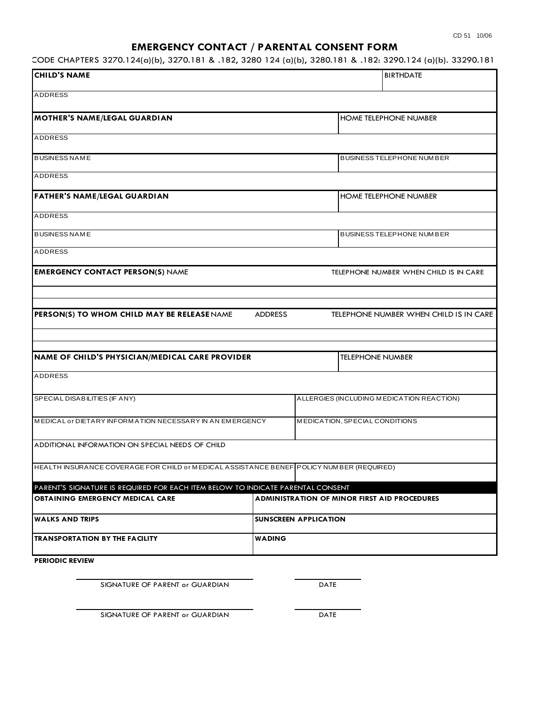# **EMERGENCY CONTACT / PARENTAL CONSENT FORM**

55 PA CODE CHAPTERS 3270.124(a)(b), 3270.181 & .182, 3280 124 (a)(b), 3280.181 & .182: 3290.124 (a)(b). 33290.181 & .182

| <b>CHILD'S NAME</b>                                                                      | <b>BIRTHDATE</b>               |                                                     |
|------------------------------------------------------------------------------------------|--------------------------------|-----------------------------------------------------|
| <b>ADDRESS</b>                                                                           |                                |                                                     |
| <b>MOTHER'S NAME/LEGAL GUARDIAN</b>                                                      |                                | <b>HOME TELEPHONE NUMBER</b>                        |
| <b>ADDRESS</b>                                                                           |                                |                                                     |
| <b>BUSINESS NAME</b>                                                                     |                                | <b>BUSINESS TELEPHONE NUMBER</b>                    |
| <b>ADDRESS</b>                                                                           |                                |                                                     |
| <b>FATHER'S NAME/LEGAL GUARDIAN</b>                                                      |                                | <b>HOME TELEPHONE NUMBER</b>                        |
| <b>ADDRESS</b>                                                                           |                                |                                                     |
| <b>BUSINESS NAME</b>                                                                     |                                | <b>BUSINESS TELEPHONE NUMBER</b>                    |
| <b>ADDRESS</b>                                                                           |                                |                                                     |
| <b>EMERGENCY CONTACT PERSON(S) NAME</b>                                                  |                                | TELEPHONE NUMBER WHEN CHILD IS IN CARE              |
|                                                                                          |                                |                                                     |
| PERSON(S) TO WHOM CHILD MAY BE RELEASE NAME                                              | <b>ADDRESS</b>                 | TELEPHONE NUMBER WHEN CHILD IS IN CARE              |
|                                                                                          |                                |                                                     |
| NAME OF CHILD'S PHYSICIAN/MEDICAL CARE PROVIDER                                          |                                | <b>TELEPHONE NUMBER</b>                             |
| <b>ADDRESS</b>                                                                           |                                |                                                     |
| SPECIAL DISABILITIES (IF ANY)                                                            |                                | ALLERGIES (INCLUDING MEDICATION REACTION)           |
| MEDICAL or DIETARY INFORMATION NECESSARY IN AN EMERGENCY                                 | MEDICATION, SPECIAL CONDITIONS |                                                     |
| ADDITIONAL INFORMATION ON SPECIAL NEEDS OF CHILD                                         |                                |                                                     |
| HEALTH INSURANCE COVERAGE FOR CHILD or MEDICAL ASSISTANCE BENEF POLICY NUMBER (REQUIRED) |                                |                                                     |
| PARENT'S SIGNATURE IS REQUIRED FOR EACH ITEM BELOW TO INDICATE PARENTAL CONSENT          |                                |                                                     |
| <b>OBTAINING EMERGENCY MEDICAL CARE</b>                                                  |                                | <b>ADMINISTRATION OF MINOR FIRST AID PROCEDURES</b> |
| <b>WALKS AND TRIPS</b>                                                                   |                                | <b>SUNSCREEN APPLICATION</b>                        |
| <b>TRANSPORTATION BY THE FACILITY</b>                                                    | <b>WADING</b>                  |                                                     |
| <b>PERIODIC REVIEW</b>                                                                   |                                |                                                     |

SIGNATURE OF PARENT or GUARDIAN DATE

SIGNATURE OF PARENT or GUARDIAN DATE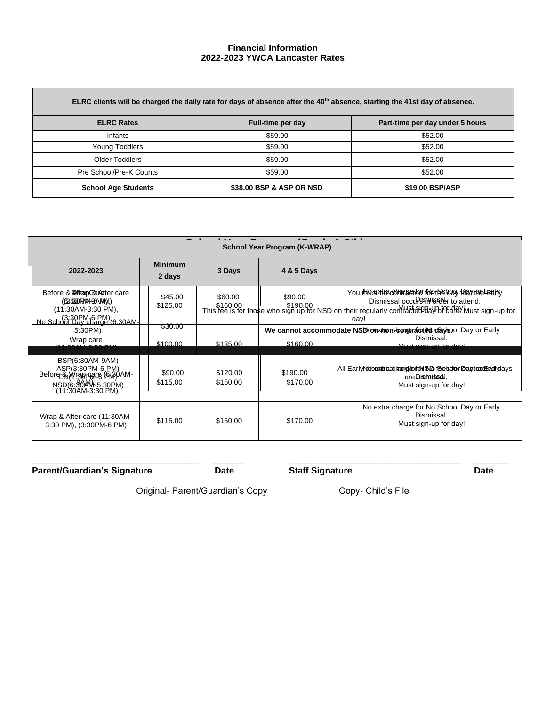## **Financial Information 2022-2023 YWCA Lancaster Rates**

| ELRC clients will be charged the daily rate for days of absence after the 40 <sup>th</sup> absence, starting the 41st day of absence. |                          |                                 |  |  |  |
|---------------------------------------------------------------------------------------------------------------------------------------|--------------------------|---------------------------------|--|--|--|
| <b>ELRC Rates</b>                                                                                                                     | Full-time per day        | Part-time per day under 5 hours |  |  |  |
| Infants                                                                                                                               | \$59.00                  | \$52.00                         |  |  |  |
| Young Toddlers                                                                                                                        | \$59.00                  | \$52.00                         |  |  |  |
| <b>Older Toddlers</b>                                                                                                                 | \$59.00                  | \$52.00                         |  |  |  |
| Pre School/Pre-K Counts                                                                                                               | \$59.00                  | \$52.00                         |  |  |  |
| <b>School Age Students</b>                                                                                                            | \$38.00 BSP & ASP OR NSD | \$19.00 BSP/ASP                 |  |  |  |

| 2022-2023                                                                              | <b>Minimum</b><br>2 days | 3 Days               | 4 & 5 Days           |                                                                                                                                                                                                                                     |
|----------------------------------------------------------------------------------------|--------------------------|----------------------|----------------------|-------------------------------------------------------------------------------------------------------------------------------------------------------------------------------------------------------------------------------------|
| Before & <i><b>WrepC&amp;</b></i> After care<br>(633300 RNM 96ARAM)                    | \$45.00<br>\$125.00      | \$60.00              | \$90.00              | You Must Be contracted Motheband Hay the Fearly<br>Dismissal occupismissely to attend.                                                                                                                                              |
| (11:30AM-3:30 PM),<br>(3:30PM-6 PM)<br>No School Day charge (6:30AM-                   |                          |                      |                      | and between the state of the state of the state of the state of the state of the state of the state of the state of the state of the state of the state of the state of the state of the state of the state of the state of<br>day! |
| 5:30PM)<br>Wrap care                                                                   | \$30.00                  |                      |                      | We cannot accommodate NSD conviron bong tracted boay sool Day or Early<br>Dismissal.                                                                                                                                                |
| T.3UAM-3.3U PN                                                                         | \$100.00                 | \$135.00             | \$160.00             | يبماه عمة حبب معتمده وبية                                                                                                                                                                                                           |
| BSP(6:30AM-9AM)<br>ASP(3:30PM-6 PM)<br>Before BUY 30PARE 6M30AM<br>NSD(6:90AM)-5:30PM) | \$90.00<br>\$115.00      | \$120.00<br>\$150.00 | \$190.00<br>\$170.00 | All Early Motisex is sachard to for the Section Dentor deal views<br>are Discroidsed.<br>Must sign-up for day!                                                                                                                      |
|                                                                                        |                          |                      |                      |                                                                                                                                                                                                                                     |
| Wrap & After care (11:30AM-<br>3:30 PM), (3:30PM-6 PM)                                 | \$115.00                 | \$150.00             | \$170.00             | No extra charge for No School Day or Early<br>Dismissal.<br>Must sign-up for day!                                                                                                                                                   |

**\_\_\_\_\_\_\_\_\_\_\_\_\_\_\_\_\_\_\_\_\_\_\_\_\_\_\_\_ \_\_\_\_\_ \_\_\_\_\_\_\_\_\_\_\_\_\_\_\_\_\_\_\_\_\_\_\_\_\_\_\_\_\_ \_\_\_\_\_\_**

**Parent/Guardian's Signature Date** Date **Date** Staff Signature Date Date

Original- Parent/Guardian's Copy Copy- Child's File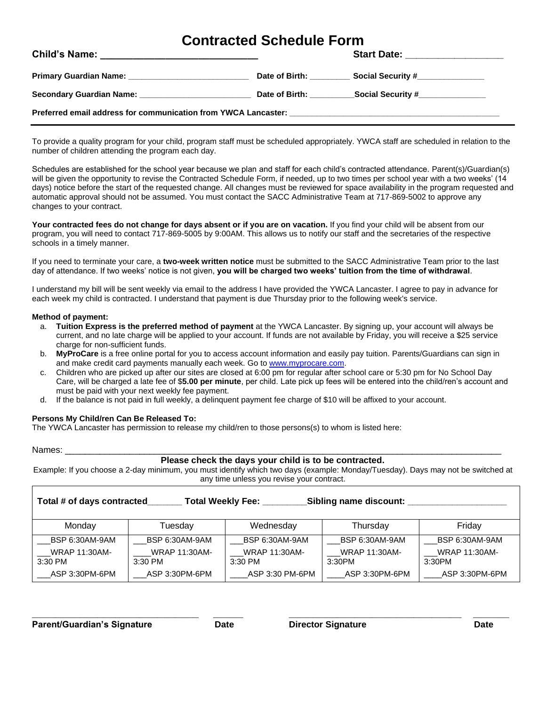# **Contracted Schedule Form**

|                                                   |                               | Start Date: ___________________  |
|---------------------------------------------------|-------------------------------|----------------------------------|
|                                                   | Date of Birth: Date of Birth: | Social Security #_______________ |
| Secondary Guardian Name: Secondary Guardian Name: | Date of Birth: Date of Birth: |                                  |
|                                                   |                               |                                  |

To provide a quality program for your child, program staff must be scheduled appropriately. YWCA staff are scheduled in relation to the number of children attending the program each day.

Schedules are established for the school year because we plan and staff for each child's contracted attendance. Parent(s)/Guardian(s) will be given the opportunity to revise the Contracted Schedule Form, if needed, up to two times per school year with a two weeks' (14 days) notice before the start of the requested change. All changes must be reviewed for space availability in the program requested and automatic approval should not be assumed. You must contact the SACC Administrative Team at 717-869-5002 to approve any changes to your contract.

**Your contracted fees do not change for days absent or if you are on vacation.** If you find your child will be absent from our program, you will need to contact 717-869-5005 by 9:00AM. This allows us to notify our staff and the secretaries of the respective schools in a timely manner.

If you need to terminate your care, a **two-week written notice** must be submitted to the SACC Administrative Team prior to the last day of attendance. If two weeks' notice is not given, **you will be charged two weeks' tuition from the time of withdrawal**.

I understand my bill will be sent weekly via email to the address I have provided the YWCA Lancaster. I agree to pay in advance for each week my child is contracted. I understand that payment is due Thursday prior to the following week's service.

### **Method of payment:**

- a. **Tuition Express is the preferred method of payment** at the YWCA Lancaster. By signing up, your account will always be current, and no late charge will be applied to your account. If funds are not available by Friday, you will receive a \$25 service charge for non-sufficient funds.
- b. **MyProCare** is a free online portal for you to access account information and easily pay tuition. Parents/Guardians can sign in and make credit card payments manually each week. Go to [www.myprocare.com.](http://www.myprocare.com/)
- c. Children who are picked up after our sites are closed at 6:00 pm for regular after school care or 5:30 pm for No School Day Care, will be charged a late fee of \$**5.00 per minute**, per child. Late pick up fees will be entered into the child/ren's account and must be paid with your next weekly fee payment.
- d. If the balance is not paid in full weekly, a delinquent payment fee charge of \$10 will be affixed to your account.

# **Persons My Child/ren Can Be Released To:**

The YWCA Lancaster has permission to release my child/ren to those persons(s) to whom is listed here:

Names: \_\_\_\_\_\_\_\_\_\_\_\_\_\_\_\_\_\_\_\_\_\_\_\_\_\_\_\_\_\_\_\_\_\_\_\_\_\_\_\_\_\_\_\_\_\_\_\_\_\_\_\_\_\_\_\_\_\_\_\_\_\_\_\_\_\_\_\_\_\_\_\_\_\_\_\_\_\_\_\_\_\_\_\_\_\_\_\_

# **Please check the days your child is to be contracted.**

Example: If you choose a 2-day minimum, you must identify which two days (example: Monday/Tuesday). Days may not be switched at any time unless you revise your contract.

| Total # of days contracted<br><b>Total Weekly Fee:</b> |                                   |                                 | Sibling name discount:         |                                |
|--------------------------------------------------------|-----------------------------------|---------------------------------|--------------------------------|--------------------------------|
| Monday                                                 | Tuesday                           | Wednesday                       | Thursday                       | Friday                         |
| BSP 6:30AM-9AM                                         | BSP 6:30AM-9AM                    | BSP 6:30AM-9AM                  | BSP 6:30AM-9AM                 | BSP 6:30AM-9AM                 |
| <b>WRAP 11:30AM-</b><br>$3:30$ PM                      | <b>WRAP 11:30AM-</b><br>$3:30$ PM | <b>WRAP 11:30AM-</b><br>3:30 PM | <b>WRAP 11:30AM-</b><br>3:30PM | <b>WRAP 11:30AM-</b><br>3:30PM |
| ASP 3:30PM-6PM                                         | ASP 3:30PM-6PM                    | ASP 3:30 PM-6PM                 | ASP 3:30PM-6PM                 | ASP 3:30PM-6PM                 |

**\_\_\_\_\_\_\_\_\_\_\_\_\_\_\_\_\_\_\_\_\_\_\_\_\_\_\_\_ \_\_\_\_\_ \_\_\_\_\_\_\_\_\_\_\_\_\_\_\_\_\_\_\_\_\_\_\_\_\_\_\_\_\_ \_\_\_\_\_\_**

**Parent/Guardian's Signature Date Director Signature Date**